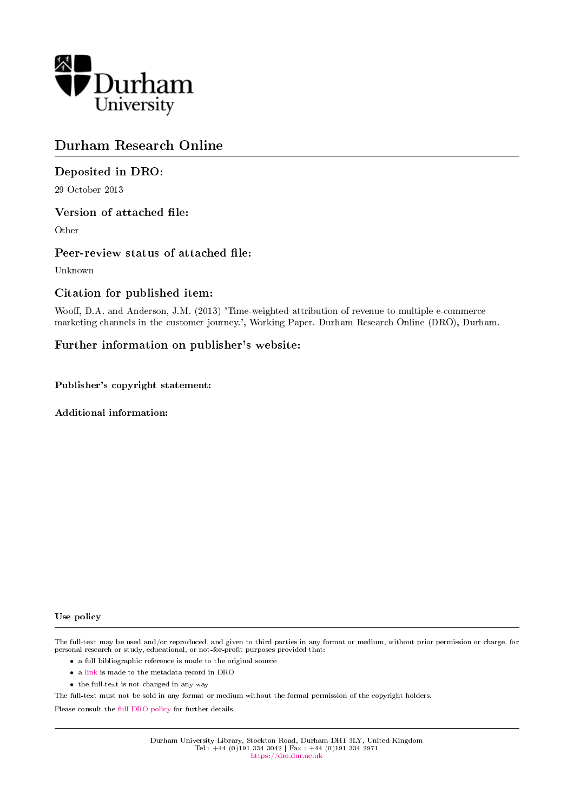

# Durham Research Online

### Deposited in DRO:

29 October 2013

### Version of attached file:

Other

### Peer-review status of attached file:

Unknown

### Citation for published item:

Wooff, D.A. and Anderson, J.M. (2013) 'Time-weighted attribution of revenue to multiple e-commerce marketing channels in the customer journey.', Working Paper. Durham Research Online (DRO), Durham.

### Further information on publisher's website:

Publisher's copyright statement:

Additional information:

#### Use policy

The full-text may be used and/or reproduced, and given to third parties in any format or medium, without prior permission or charge, for personal research or study, educational, or not-for-profit purposes provided that:

- a full bibliographic reference is made to the original source
- a [link](http://dro.dur.ac.uk/11458/) is made to the metadata record in DRO
- the full-text is not changed in any way

The full-text must not be sold in any format or medium without the formal permission of the copyright holders.

Please consult the [full DRO policy](https://dro.dur.ac.uk/policies/usepolicy.pdf) for further details.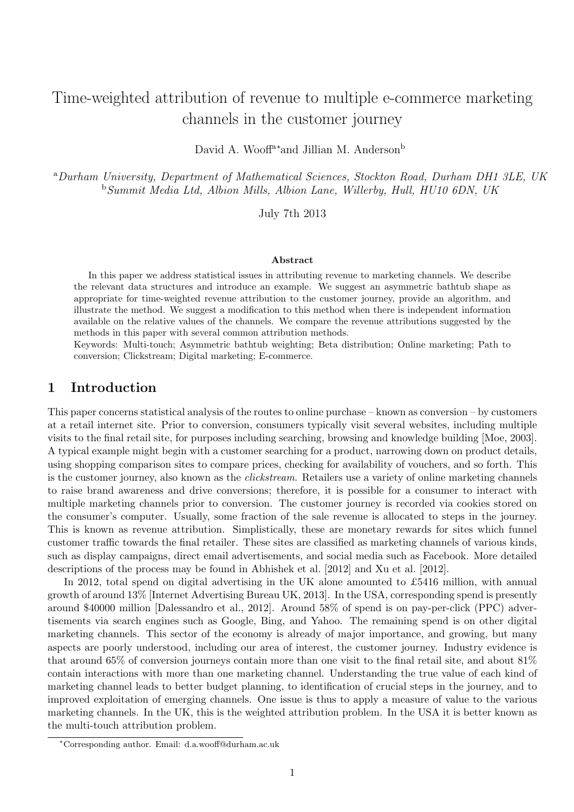# Time-weighted attribution of revenue to multiple e-commerce marketing channels in the customer journey

David A. Wooff<sup>a∗</sup>and Jillian M. Anderson<sup>b</sup>

<sup>a</sup>Durham University, Department of Mathematical Sciences, Stockton Road, Durham DH1 3LE, UK <sup>b</sup>Summit Media Ltd, Albion Mills, Albion Lane, Willerby, Hull, HU10 6DN, UK

July 7th 2013

#### Abstract

In this paper we address statistical issues in attributing revenue to marketing channels. We describe the relevant data structures and introduce an example. We suggest an asymmetric bathtub shape as appropriate for time-weighted revenue attribution to the customer journey, provide an algorithm, and illustrate the method. We suggest a modification to this method when there is independent information available on the relative values of the channels. We compare the revenue attributions suggested by the methods in this paper with several common attribution methods.

Keywords: Multi-touch; Asymmetric bathtub weighting; Beta distribution; Online marketing; Path to conversion; Clickstream; Digital marketing; E-commerce.

### 1 Introduction

This paper concerns statistical analysis of the routes to online purchase – known as conversion – by customers at a retail internet site. Prior to conversion, consumers typically visit several websites, including multiple visits to the final retail site, for purposes including searching, browsing and knowledge building [Moe, 2003]. A typical example might begin with a customer searching for a product, narrowing down on product details, using shopping comparison sites to compare prices, checking for availability of vouchers, and so forth. This is the customer journey, also known as the *clickstream*. Retailers use a variety of online marketing channels to raise brand awareness and drive conversions; therefore, it is possible for a consumer to interact with multiple marketing channels prior to conversion. The customer journey is recorded via cookies stored on the consumer's computer. Usually, some fraction of the sale revenue is allocated to steps in the journey. This is known as revenue attribution. Simplistically, these are monetary rewards for sites which funnel customer traffic towards the final retailer. These sites are classified as marketing channels of various kinds, such as display campaigns, direct email advertisements, and social media such as Facebook. More detailed descriptions of the process may be found in Abhishek et al. [2012] and Xu et al. [2012].

In 2012, total spend on digital advertising in the UK alone amounted to £5416 million, with annual growth of around 13% [Internet Advertising Bureau UK, 2013]. In the USA, corresponding spend is presently around \$40000 million [Dalessandro et al., 2012]. Around 58% of spend is on pay-per-click (PPC) advertisements via search engines such as Google, Bing, and Yahoo. The remaining spend is on other digital marketing channels. This sector of the economy is already of major importance, and growing, but many aspects are poorly understood, including our area of interest, the customer journey. Industry evidence is that around 65% of conversion journeys contain more than one visit to the final retail site, and about 81% contain interactions with more than one marketing channel. Understanding the true value of each kind of marketing channel leads to better budget planning, to identification of crucial steps in the journey, and to improved exploitation of emerging channels. One issue is thus to apply a measure of value to the various marketing channels. In the UK, this is the weighted attribution problem. In the USA it is better known as the multi-touch attribution problem.

<sup>∗</sup>Corresponding author. Email: d.a.wooff@durham.ac.uk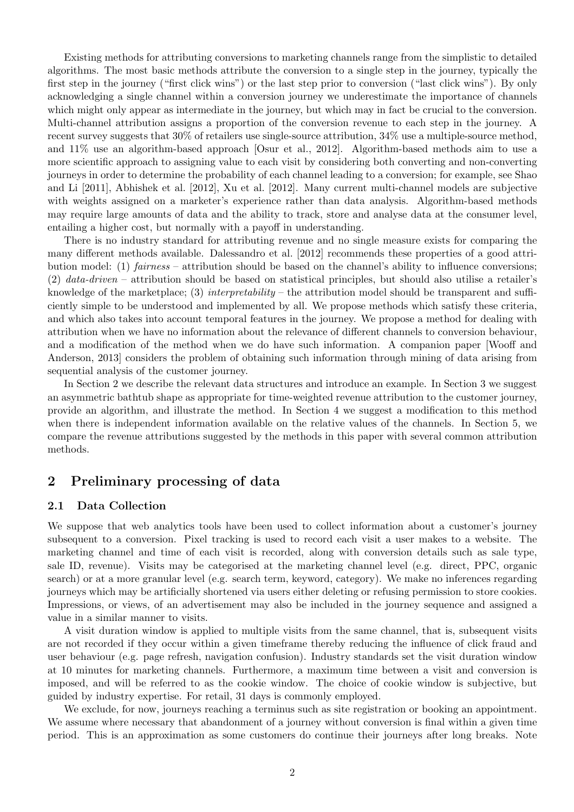Existing methods for attributing conversions to marketing channels range from the simplistic to detailed algorithms. The most basic methods attribute the conversion to a single step in the journey, typically the first step in the journey ("first click wins") or the last step prior to conversion ("last click wins"). By only acknowledging a single channel within a conversion journey we underestimate the importance of channels which might only appear as intermediate in the journey, but which may in fact be crucial to the conversion. Multi-channel attribution assigns a proportion of the conversion revenue to each step in the journey. A recent survey suggests that 30% of retailers use single-source attribution, 34% use a multiple-source method, and 11% use an algorithm-based approach [Osur et al., 2012]. Algorithm-based methods aim to use a more scientific approach to assigning value to each visit by considering both converting and non-converting journeys in order to determine the probability of each channel leading to a conversion; for example, see Shao and Li [2011], Abhishek et al. [2012], Xu et al. [2012]. Many current multi-channel models are subjective with weights assigned on a marketer's experience rather than data analysis. Algorithm-based methods may require large amounts of data and the ability to track, store and analyse data at the consumer level, entailing a higher cost, but normally with a payoff in understanding.

There is no industry standard for attributing revenue and no single measure exists for comparing the many different methods available. Dalessandro et al. [2012] recommends these properties of a good attribution model: (1) fairness – attribution should be based on the channel's ability to influence conversions; (2) data-driven – attribution should be based on statistical principles, but should also utilise a retailer's knowledge of the marketplace; (3) interpretability – the attribution model should be transparent and sufficiently simple to be understood and implemented by all. We propose methods which satisfy these criteria, and which also takes into account temporal features in the journey. We propose a method for dealing with attribution when we have no information about the relevance of different channels to conversion behaviour, and a modification of the method when we do have such information. A companion paper [Wooff and Anderson, 2013] considers the problem of obtaining such information through mining of data arising from sequential analysis of the customer journey.

In Section 2 we describe the relevant data structures and introduce an example. In Section 3 we suggest an asymmetric bathtub shape as appropriate for time-weighted revenue attribution to the customer journey, provide an algorithm, and illustrate the method. In Section 4 we suggest a modification to this method when there is independent information available on the relative values of the channels. In Section 5, we compare the revenue attributions suggested by the methods in this paper with several common attribution methods.

# 2 Preliminary processing of data

### 2.1 Data Collection

We suppose that web analytics tools have been used to collect information about a customer's journey subsequent to a conversion. Pixel tracking is used to record each visit a user makes to a website. The marketing channel and time of each visit is recorded, along with conversion details such as sale type, sale ID, revenue). Visits may be categorised at the marketing channel level (e.g. direct, PPC, organic search) or at a more granular level (e.g. search term, keyword, category). We make no inferences regarding journeys which may be artificially shortened via users either deleting or refusing permission to store cookies. Impressions, or views, of an advertisement may also be included in the journey sequence and assigned a value in a similar manner to visits.

A visit duration window is applied to multiple visits from the same channel, that is, subsequent visits are not recorded if they occur within a given timeframe thereby reducing the influence of click fraud and user behaviour (e.g. page refresh, navigation confusion). Industry standards set the visit duration window at 10 minutes for marketing channels. Furthermore, a maximum time between a visit and conversion is imposed, and will be referred to as the cookie window. The choice of cookie window is subjective, but guided by industry expertise. For retail, 31 days is commonly employed.

We exclude, for now, journeys reaching a terminus such as site registration or booking an appointment. We assume where necessary that abandonment of a journey without conversion is final within a given time period. This is an approximation as some customers do continue their journeys after long breaks. Note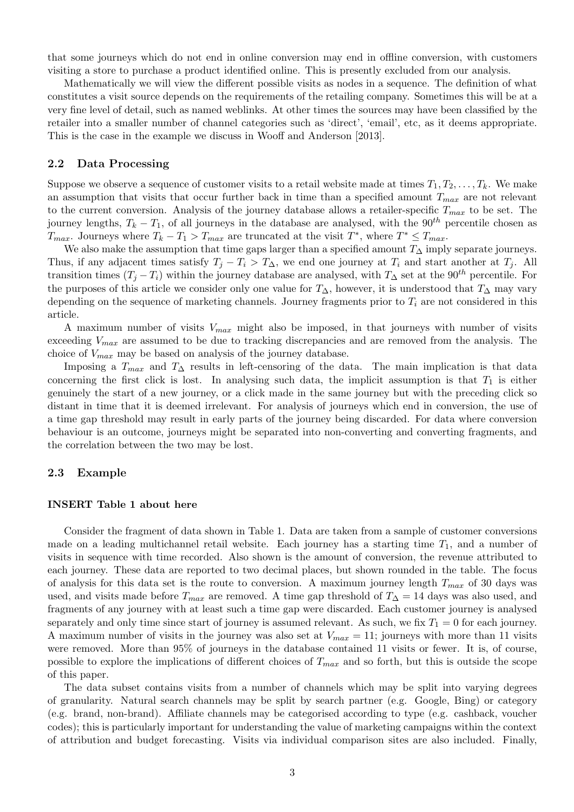that some journeys which do not end in online conversion may end in offline conversion, with customers visiting a store to purchase a product identified online. This is presently excluded from our analysis.

Mathematically we will view the different possible visits as nodes in a sequence. The definition of what constitutes a visit source depends on the requirements of the retailing company. Sometimes this will be at a very fine level of detail, such as named weblinks. At other times the sources may have been classified by the retailer into a smaller number of channel categories such as 'direct', 'email', etc, as it deems appropriate. This is the case in the example we discuss in Wooff and Anderson [2013].

#### 2.2 Data Processing

Suppose we observe a sequence of customer visits to a retail website made at times  $T_1, T_2, \ldots, T_k$ . We make an assumption that visits that occur further back in time than a specified amount  $T_{max}$  are not relevant to the current conversion. Analysis of the journey database allows a retailer-specific  $T_{max}$  to be set. The journey lengths,  $T_k - T_1$ , of all journeys in the database are analysed, with the 90<sup>th</sup> percentile chosen as  $T_{max}$ . Journeys where  $T_k - T_1 > T_{max}$  are truncated at the visit  $T^*$ , where  $T^* \leq T_{max}$ .

We also make the assumption that time gaps larger than a specified amount  $T_{\Delta}$  imply separate journeys. Thus, if any adjacent times satisfy  $T_j - T_i > T_\Delta$ , we end one journey at  $T_i$  and start another at  $T_j$ . All transition times  $(T_j - T_i)$  within the journey database are analysed, with  $T_\Delta$  set at the 90<sup>th</sup> percentile. For the purposes of this article we consider only one value for  $T_{\Delta}$ , however, it is understood that  $T_{\Delta}$  may vary depending on the sequence of marketing channels. Journey fragments prior to  $T_i$  are not considered in this article.

A maximum number of visits  $V_{max}$  might also be imposed, in that journeys with number of visits exceeding  $V_{max}$  are assumed to be due to tracking discrepancies and are removed from the analysis. The choice of  $V_{max}$  may be based on analysis of the journey database.

Imposing a  $T_{max}$  and  $T_{\Delta}$  results in left-censoring of the data. The main implication is that data concerning the first click is lost. In analysing such data, the implicit assumption is that  $T_1$  is either genuinely the start of a new journey, or a click made in the same journey but with the preceding click so distant in time that it is deemed irrelevant. For analysis of journeys which end in conversion, the use of a time gap threshold may result in early parts of the journey being discarded. For data where conversion behaviour is an outcome, journeys might be separated into non-converting and converting fragments, and the correlation between the two may be lost.

#### 2.3 Example

#### INSERT Table 1 about here

Consider the fragment of data shown in Table 1. Data are taken from a sample of customer conversions made on a leading multichannel retail website. Each journey has a starting time  $T_1$ , and a number of visits in sequence with time recorded. Also shown is the amount of conversion, the revenue attributed to each journey. These data are reported to two decimal places, but shown rounded in the table. The focus of analysis for this data set is the route to conversion. A maximum journey length  $T_{max}$  of 30 days was used, and visits made before  $T_{max}$  are removed. A time gap threshold of  $T_{\Delta} = 14$  days was also used, and fragments of any journey with at least such a time gap were discarded. Each customer journey is analysed separately and only time since start of journey is assumed relevant. As such, we fix  $T_1 = 0$  for each journey. A maximum number of visits in the journey was also set at  $V_{max} = 11$ ; journeys with more than 11 visits were removed. More than 95% of journeys in the database contained 11 visits or fewer. It is, of course, possible to explore the implications of different choices of  $T_{max}$  and so forth, but this is outside the scope of this paper.

The data subset contains visits from a number of channels which may be split into varying degrees of granularity. Natural search channels may be split by search partner (e.g. Google, Bing) or category (e.g. brand, non-brand). Affiliate channels may be categorised according to type (e.g. cashback, voucher codes); this is particularly important for understanding the value of marketing campaigns within the context of attribution and budget forecasting. Visits via individual comparison sites are also included. Finally,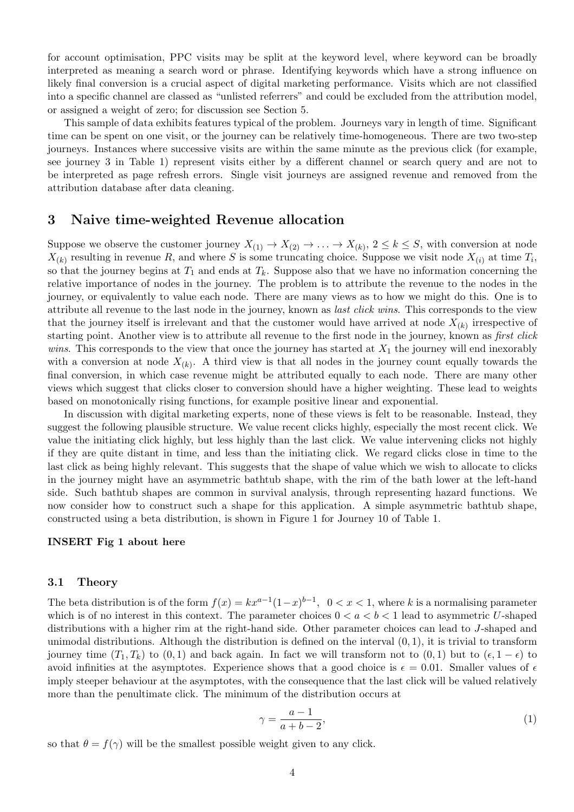for account optimisation, PPC visits may be split at the keyword level, where keyword can be broadly interpreted as meaning a search word or phrase. Identifying keywords which have a strong influence on likely final conversion is a crucial aspect of digital marketing performance. Visits which are not classified into a specific channel are classed as "unlisted referrers" and could be excluded from the attribution model, or assigned a weight of zero; for discussion see Section 5.

This sample of data exhibits features typical of the problem. Journeys vary in length of time. Significant time can be spent on one visit, or the journey can be relatively time-homogeneous. There are two two-step journeys. Instances where successive visits are within the same minute as the previous click (for example, see journey 3 in Table 1) represent visits either by a different channel or search query and are not to be interpreted as page refresh errors. Single visit journeys are assigned revenue and removed from the attribution database after data cleaning.

### 3 Naive time-weighted Revenue allocation

Suppose we observe the customer journey  $X_{(1)} \to X_{(2)} \to \ldots \to X_{(k)}$ ,  $2 \leq k \leq S$ , with conversion at node  $X_{(k)}$  resulting in revenue R, and where S is some truncating choice. Suppose we visit node  $X_{(i)}$  at time  $T_i$ , so that the journey begins at  $T_1$  and ends at  $T_k$ . Suppose also that we have no information concerning the relative importance of nodes in the journey. The problem is to attribute the revenue to the nodes in the journey, or equivalently to value each node. There are many views as to how we might do this. One is to attribute all revenue to the last node in the journey, known as last click wins. This corresponds to the view that the journey itself is irrelevant and that the customer would have arrived at node  $X_{(k)}$  irrespective of starting point. Another view is to attribute all revenue to the first node in the journey, known as *first click* wins. This corresponds to the view that once the journey has started at  $X_1$  the journey will end inexorably with a conversion at node  $X_{(k)}$ . A third view is that all nodes in the journey count equally towards the final conversion, in which case revenue might be attributed equally to each node. There are many other views which suggest that clicks closer to conversion should have a higher weighting. These lead to weights based on monotonically rising functions, for example positive linear and exponential.

In discussion with digital marketing experts, none of these views is felt to be reasonable. Instead, they suggest the following plausible structure. We value recent clicks highly, especially the most recent click. We value the initiating click highly, but less highly than the last click. We value intervening clicks not highly if they are quite distant in time, and less than the initiating click. We regard clicks close in time to the last click as being highly relevant. This suggests that the shape of value which we wish to allocate to clicks in the journey might have an asymmetric bathtub shape, with the rim of the bath lower at the left-hand side. Such bathtub shapes are common in survival analysis, through representing hazard functions. We now consider how to construct such a shape for this application. A simple asymmetric bathtub shape, constructed using a beta distribution, is shown in Figure 1 for Journey 10 of Table 1.

### INSERT Fig 1 about here

#### 3.1 Theory

The beta distribution is of the form  $f(x) = kx^{a-1}(1-x)^{b-1}$ ,  $0 < x < 1$ , where k is a normalising parameter which is of no interest in this context. The parameter choices  $0 < a < b < 1$  lead to asymmetric U-shaped distributions with a higher rim at the right-hand side. Other parameter choices can lead to J-shaped and unimodal distributions. Although the distribution is defined on the interval  $(0, 1)$ , it is trivial to transform journey time  $(T_1, T_k)$  to  $(0, 1)$  and back again. In fact we will transform not to  $(0, 1)$  but to  $(\epsilon, 1 - \epsilon)$  to avoid infinities at the asymptotes. Experience shows that a good choice is  $\epsilon = 0.01$ . Smaller values of  $\epsilon$ imply steeper behaviour at the asymptotes, with the consequence that the last click will be valued relatively more than the penultimate click. The minimum of the distribution occurs at

$$
\gamma = \frac{a-1}{a+b-2},\tag{1}
$$

so that  $\theta = f(\gamma)$  will be the smallest possible weight given to any click.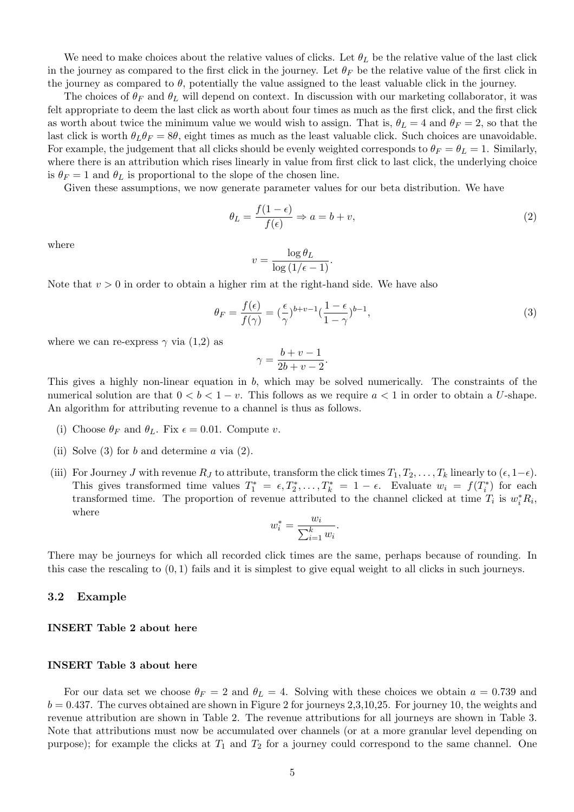We need to make choices about the relative values of clicks. Let  $\theta_L$  be the relative value of the last click in the journey as compared to the first click in the journey. Let  $\theta_F$  be the relative value of the first click in the journey as compared to  $\theta$ , potentially the value assigned to the least valuable click in the journey.

The choices of  $\theta_F$  and  $\theta_L$  will depend on context. In discussion with our marketing collaborator, it was felt appropriate to deem the last click as worth about four times as much as the first click, and the first click as worth about twice the minimum value we would wish to assign. That is,  $\theta_L = 4$  and  $\theta_F = 2$ , so that the last click is worth  $\theta_L \theta_F = 8\theta$ , eight times as much as the least valuable click. Such choices are unavoidable. For example, the judgement that all clicks should be evenly weighted corresponds to  $\theta_F = \theta_L = 1$ . Similarly, where there is an attribution which rises linearly in value from first click to last click, the underlying choice is  $\theta_F = 1$  and  $\theta_L$  is proportional to the slope of the chosen line.

Given these assumptions, we now generate parameter values for our beta distribution. We have

$$
\theta_L = \frac{f(1 - \epsilon)}{f(\epsilon)} \Rightarrow a = b + v,\tag{2}
$$

where

$$
v = \frac{\log \theta_L}{\log (1/\epsilon - 1)}.
$$

Note that  $v > 0$  in order to obtain a higher rim at the right-hand side. We have also

$$
\theta_F = \frac{f(\epsilon)}{f(\gamma)} = (\frac{\epsilon}{\gamma})^{b+v-1} (\frac{1-\epsilon}{1-\gamma})^{b-1},\tag{3}
$$

where we can re-express  $\gamma$  via (1,2) as

$$
\gamma = \frac{b+v-1}{2b+v-2}.
$$

This gives a highly non-linear equation in b, which may be solved numerically. The constraints of the numerical solution are that  $0 < b < 1 - v$ . This follows as we require  $a < 1$  in order to obtain a U-shape. An algorithm for attributing revenue to a channel is thus as follows.

- (i) Choose  $\theta_F$  and  $\theta_L$ . Fix  $\epsilon = 0.01$ . Compute v.
- (ii) Solve  $(3)$  for b and determine a via  $(2)$ .
- (iii) For Journey J with revenue  $R_J$  to attribute, transform the click times  $T_1, T_2, \ldots, T_k$  linearly to  $(\epsilon, 1-\epsilon)$ . This gives transformed time values  $T_1^* = \epsilon, T_2^*, \ldots, T_k^* = 1 - \epsilon$ . Evaluate  $w_i = f(T_i^*)$  $i^*$ ) for each transformed time. The proportion of revenue attributed to the channel clicked at time  $T_i$  is  $w_i^* R_i$ , where

$$
w_i^* = \frac{w_i}{\sum_{i=1}^k w_i}.
$$

There may be journeys for which all recorded click times are the same, perhaps because of rounding. In this case the rescaling to  $(0, 1)$  fails and it is simplest to give equal weight to all clicks in such journeys.

#### 3.2 Example

#### INSERT Table 2 about here

#### INSERT Table 3 about here

For our data set we choose  $\theta_F = 2$  and  $\theta_L = 4$ . Solving with these choices we obtain  $a = 0.739$  and  $b = 0.437$ . The curves obtained are shown in Figure 2 for journeys 2,3,10,25. For journey 10, the weights and revenue attribution are shown in Table 2. The revenue attributions for all journeys are shown in Table 3. Note that attributions must now be accumulated over channels (or at a more granular level depending on purpose); for example the clicks at  $T_1$  and  $T_2$  for a journey could correspond to the same channel. One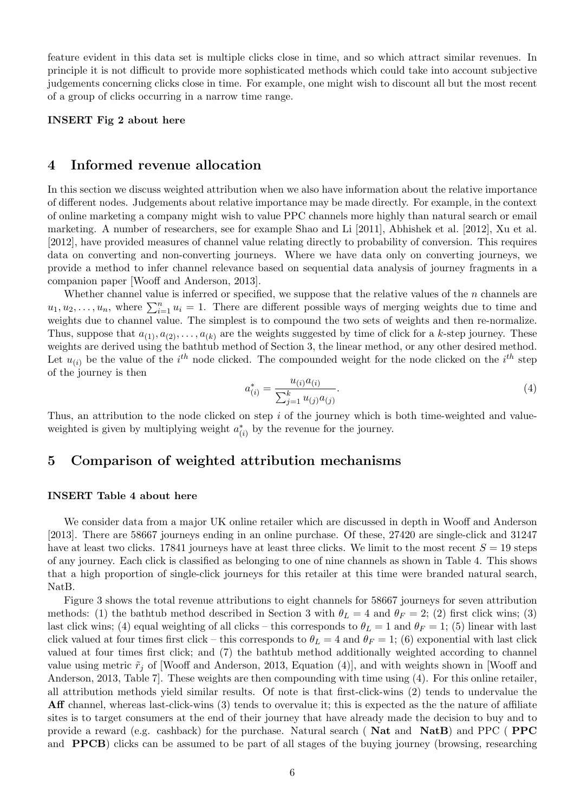feature evident in this data set is multiple clicks close in time, and so which attract similar revenues. In principle it is not difficult to provide more sophisticated methods which could take into account subjective judgements concerning clicks close in time. For example, one might wish to discount all but the most recent of a group of clicks occurring in a narrow time range.

#### INSERT Fig 2 about here

### 4 Informed revenue allocation

In this section we discuss weighted attribution when we also have information about the relative importance of different nodes. Judgements about relative importance may be made directly. For example, in the context of online marketing a company might wish to value PPC channels more highly than natural search or email marketing. A number of researchers, see for example Shao and Li [2011], Abhishek et al. [2012], Xu et al. [2012], have provided measures of channel value relating directly to probability of conversion. This requires data on converting and non-converting journeys. Where we have data only on converting journeys, we provide a method to infer channel relevance based on sequential data analysis of journey fragments in a companion paper [Wooff and Anderson, 2013].

Whether channel value is inferred or specified, we suppose that the relative values of the  $n$  channels are  $u_1, u_2, \ldots, u_n$ , where  $\sum_{i=1}^n u_i = 1$ . There are different possible ways of merging weights due to time and weights due to channel value. The simplest is to compound the two sets of weights and then re-normalize. Thus, suppose that  $a_{(1)}, a_{(2)}, \ldots, a_{(k)}$  are the weights suggested by time of click for a k-step journey. These weights are derived using the bathtub method of Section 3, the linear method, or any other desired method. Let  $u_{(i)}$  be the value of the  $i^{th}$  node clicked. The compounded weight for the node clicked on the  $i^{th}$  step of the journey is then

$$
a_{(i)}^* = \frac{u_{(i)}a_{(i)}}{\sum_{j=1}^k u_{(j)}a_{(j)}}.
$$
\n(4)

Thus, an attribution to the node clicked on step  $i$  of the journey which is both time-weighted and valueweighted is given by multiplying weight  $a^*_{\ell}$  $\chi^*_{(i)}$  by the revenue for the journey.

### 5 Comparison of weighted attribution mechanisms

#### INSERT Table 4 about here

We consider data from a major UK online retailer which are discussed in depth in Wooff and Anderson [2013]. There are 58667 journeys ending in an online purchase. Of these, 27420 are single-click and 31247 have at least two clicks. 17841 journeys have at least three clicks. We limit to the most recent  $S = 19$  steps of any journey. Each click is classified as belonging to one of nine channels as shown in Table 4. This shows that a high proportion of single-click journeys for this retailer at this time were branded natural search, NatB.

Figure 3 shows the total revenue attributions to eight channels for 58667 journeys for seven attribution methods: (1) the bathtub method described in Section 3 with  $\theta_L = 4$  and  $\theta_F = 2$ ; (2) first click wins; (3) last click wins; (4) equal weighting of all clicks – this corresponds to  $\theta_L = 1$  and  $\theta_F = 1$ ; (5) linear with last click valued at four times first click – this corresponds to  $\theta_L = 4$  and  $\theta_F = 1$ ; (6) exponential with last click valued at four times first click; and (7) the bathtub method additionally weighted according to channel value using metric  $\tilde{r}_j$  of [Wooff and Anderson, 2013, Equation (4)], and with weights shown in [Wooff and Anderson, 2013, Table 7]. These weights are then compounding with time using (4). For this online retailer, all attribution methods yield similar results. Of note is that first-click-wins (2) tends to undervalue the Aff channel, whereas last-click-wins (3) tends to overvalue it; this is expected as the the nature of affiliate sites is to target consumers at the end of their journey that have already made the decision to buy and to provide a reward (e.g. cashback) for the purchase. Natural search ( Nat and NatB) and PPC ( PPC and PPCB) clicks can be assumed to be part of all stages of the buying journey (browsing, researching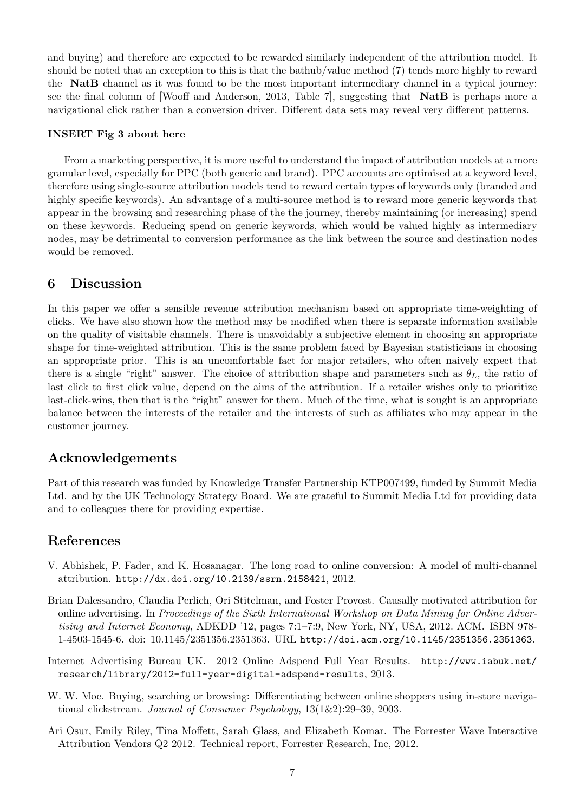and buying) and therefore are expected to be rewarded similarly independent of the attribution model. It should be noted that an exception to this is that the bathub/value method (7) tends more highly to reward the NatB channel as it was found to be the most important intermediary channel in a typical journey: see the final column of [Wooff and Anderson, 2013, Table 7], suggesting that NatB is perhaps more a navigational click rather than a conversion driver. Different data sets may reveal very different patterns.

### INSERT Fig 3 about here

From a marketing perspective, it is more useful to understand the impact of attribution models at a more granular level, especially for PPC (both generic and brand). PPC accounts are optimised at a keyword level, therefore using single-source attribution models tend to reward certain types of keywords only (branded and highly specific keywords). An advantage of a multi-source method is to reward more generic keywords that appear in the browsing and researching phase of the the journey, thereby maintaining (or increasing) spend on these keywords. Reducing spend on generic keywords, which would be valued highly as intermediary nodes, may be detrimental to conversion performance as the link between the source and destination nodes would be removed.

### 6 Discussion

In this paper we offer a sensible revenue attribution mechanism based on appropriate time-weighting of clicks. We have also shown how the method may be modified when there is separate information available on the quality of visitable channels. There is unavoidably a subjective element in choosing an appropriate shape for time-weighted attribution. This is the same problem faced by Bayesian statisticians in choosing an appropriate prior. This is an uncomfortable fact for major retailers, who often naively expect that there is a single "right" answer. The choice of attribution shape and parameters such as  $\theta_L$ , the ratio of last click to first click value, depend on the aims of the attribution. If a retailer wishes only to prioritize last-click-wins, then that is the "right" answer for them. Much of the time, what is sought is an appropriate balance between the interests of the retailer and the interests of such as affiliates who may appear in the customer journey.

# Acknowledgements

Part of this research was funded by Knowledge Transfer Partnership KTP007499, funded by Summit Media Ltd. and by the UK Technology Strategy Board. We are grateful to Summit Media Ltd for providing data and to colleagues there for providing expertise.

# References

- V. Abhishek, P. Fader, and K. Hosanagar. The long road to online conversion: A model of multi-channel attribution. http://dx.doi.org/10.2139/ssrn.2158421, 2012.
- Brian Dalessandro, Claudia Perlich, Ori Stitelman, and Foster Provost. Causally motivated attribution for online advertising. In Proceedings of the Sixth International Workshop on Data Mining for Online Advertising and Internet Economy, ADKDD '12, pages 7:1–7:9, New York, NY, USA, 2012. ACM. ISBN 978- 1-4503-1545-6. doi: 10.1145/2351356.2351363. URL http://doi.acm.org/10.1145/2351356.2351363.
- Internet Advertising Bureau UK. 2012 Online Adspend Full Year Results. http://www.iabuk.net/ research/library/2012-full-year-digital-adspend-results, 2013.
- W. W. Moe. Buying, searching or browsing: Differentiating between online shoppers using in-store navigational clickstream. Journal of Consumer Psychology, 13(1&2):29–39, 2003.
- Ari Osur, Emily Riley, Tina Moffett, Sarah Glass, and Elizabeth Komar. The Forrester Wave Interactive Attribution Vendors Q2 2012. Technical report, Forrester Research, Inc, 2012.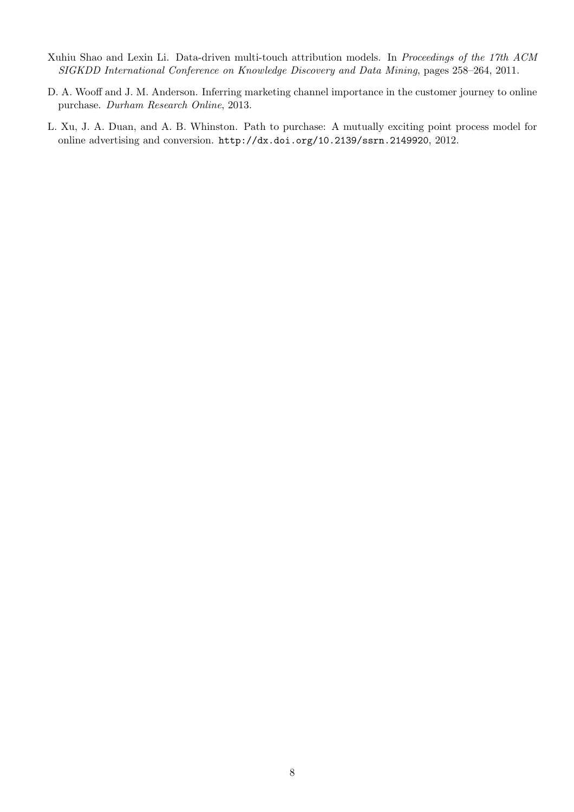- Xuhiu Shao and Lexin Li. Data-driven multi-touch attribution models. In Proceedings of the 17th ACM SIGKDD International Conference on Knowledge Discovery and Data Mining, pages 258–264, 2011.
- D. A. Wooff and J. M. Anderson. Inferring marketing channel importance in the customer journey to online purchase. Durham Research Online, 2013.
- L. Xu, J. A. Duan, and A. B. Whinston. Path to purchase: A mutually exciting point process model for online advertising and conversion. http://dx.doi.org/10.2139/ssrn.2149920, 2012.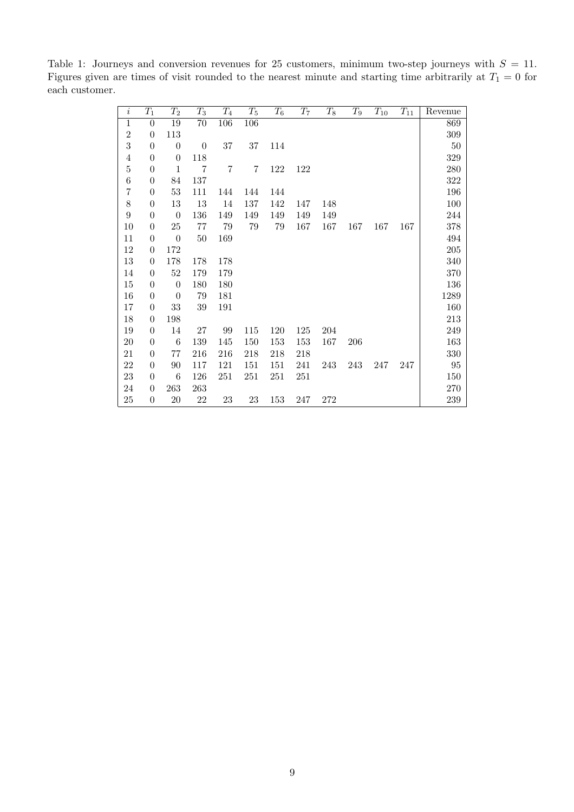| $\it i$          | $T_1$            | $T_2$            | $T_3$            | $T_4$          | $T_5$  | $T_6$ | $T_7$ | $T_8$ | $T_{9}$ | $T_{10}$ | $T_{11}$ | Revenue   |
|------------------|------------------|------------------|------------------|----------------|--------|-------|-------|-------|---------|----------|----------|-----------|
| $\overline{1}$   | $\boldsymbol{0}$ | 19               | 70               | 106            | 106    |       |       |       |         |          |          | 869       |
| $\overline{2}$   | $\theta$         | 113              |                  |                |        |       |       |       |         |          |          | 309       |
| 3                | $\boldsymbol{0}$ | $\boldsymbol{0}$ | $\boldsymbol{0}$ | $37\,$         | $37\,$ | 114   |       |       |         |          |          | $50\,$    |
| 4                | $\theta$         | $\theta$         | 118              |                |        |       |       |       |         |          |          | $329\,$   |
| $\overline{5}$   | $\boldsymbol{0}$ | $\mathbf{1}$     | $\overline{7}$   | $\overline{7}$ | 7      | 122   | 122   |       |         |          |          | 280       |
| $\,6$            | $\theta$         | 84               | 137              |                |        |       |       |       |         |          |          | $322\,$   |
| $\overline{7}$   | $\theta$         | $53\,$           | 111              | 144            | 144    | 144   |       |       |         |          |          | 196       |
| 8                | $\boldsymbol{0}$ | 13               | 13               | 14             | 137    | 142   | 147   | 148   |         |          |          | 100       |
| $\boldsymbol{9}$ | $\theta$         | $\boldsymbol{0}$ | 136              | 149            | 149    | 149   | 149   | 149   |         |          |          | $\bf 244$ |
| 10               | $\boldsymbol{0}$ | $25\,$           | 77               | 79             | 79     | 79    | 167   | 167   | 167     | 167      | 167      | 378       |
| 11               | $\theta$         | $\boldsymbol{0}$ | $50\,$           | 169            |        |       |       |       |         |          |          | 494       |
| 12               | $\theta$         | 172              |                  |                |        |       |       |       |         |          |          | $205\,$   |
| $13\,$           | $\theta$         | 178              | 178              | 178            |        |       |       |       |         |          |          | 340       |
| 14               | $\theta$         | 52               | 179              | 179            |        |       |       |       |         |          |          | 370       |
| $15\,$           | $\theta$         | $\boldsymbol{0}$ | 180              | 180            |        |       |       |       |         |          |          | 136       |
| 16               | $\theta$         | $\boldsymbol{0}$ | 79               | 181            |        |       |       |       |         |          |          | 1289      |
| 17               | $\theta$         | 33               | $39\,$           | 191            |        |       |       |       |         |          |          | 160       |
| 18               | $\boldsymbol{0}$ | 198              |                  |                |        |       |       |       |         |          |          | $213\,$   |
| 19               | $\theta$         | 14               | $27\,$           | 99             | 115    | 120   | 125   | 204   |         |          |          | 249       |
| $20\,$           | $\boldsymbol{0}$ | 6                | 139              | 145            | 150    | 153   | 153   | 167   | 206     |          |          | 163       |
| 21               | $\theta$         | 77               | 216              | 216            | 218    | 218   | 218   |       |         |          |          | $330\,$   |
| 22               | $\theta$         | $90\,$           | 117              | 121            | 151    | 151   | 241   | 243   | 243     | 247      | 247      | 95        |
| $23\,$           | $\theta$         | $\boldsymbol{6}$ | 126              | 251            | 251    | 251   | 251   |       |         |          |          | 150       |
| 24               | $\boldsymbol{0}$ | 263              | 263              |                |        |       |       |       |         |          |          | $270\,$   |
| $25\,$           | $\boldsymbol{0}$ | $20\,$           | $22\,$           | 23             | 23     | 153   | 247   | 272   |         |          |          | 239       |

Table 1: Journeys and conversion revenues for 25 customers, minimum two-step journeys with  $S = 11$ . Figures given are times of visit rounded to the nearest minute and starting time arbitrarily at  $T_1 = 0$  for each customer.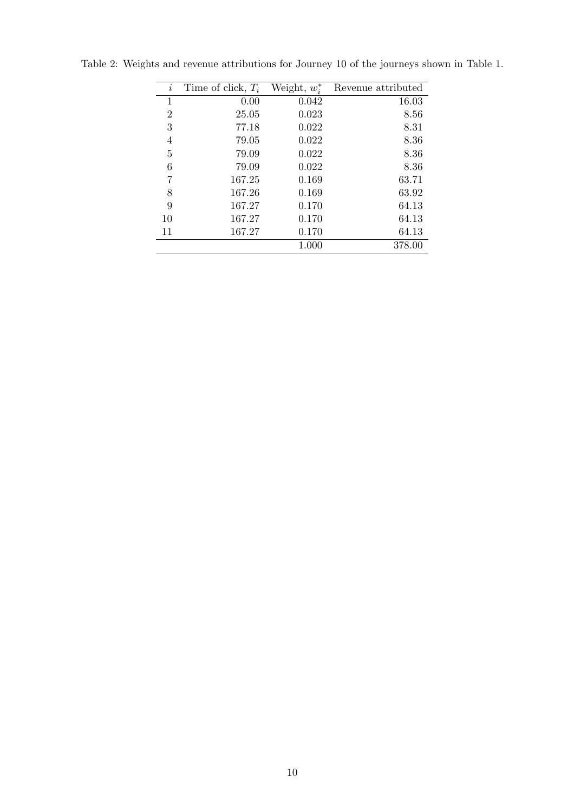| $\dot{\imath}$ | Time of click, $T_i$ | Weight, $w_i^*$ | Revenue attributed |
|----------------|----------------------|-----------------|--------------------|
| 1              | 0.00                 | 0.042           | 16.03              |
| $\overline{2}$ | 25.05                | 0.023           | 8.56               |
| 3              | 77.18                | 0.022           | 8.31               |
| 4              | 79.05                | 0.022           | 8.36               |
| 5              | 79.09                | 0.022           | 8.36               |
| 6              | 79.09                | 0.022           | 8.36               |
| 7              | 167.25               | 0.169           | 63.71              |
| 8              | 167.26               | 0.169           | 63.92              |
| 9              | 167.27               | 0.170           | 64.13              |
| 10             | 167.27               | 0.170           | 64.13              |
| 11             | 167.27               | 0.170           | 64.13              |
|                |                      | 1.000           | 378.00             |

Table 2: Weights and revenue attributions for Journey 10 of the journeys shown in Table 1.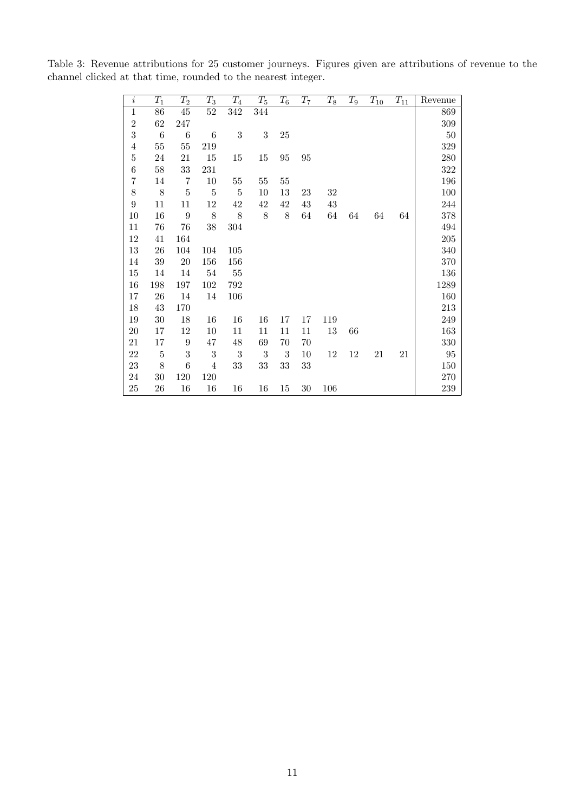Table 3: Revenue attributions for 25 customer journeys. Figures given are attributions of revenue to the channel clicked at that time, rounded to the nearest integer.

| $\overline{i}$   | $T_1$          | $T_2$           | $T_3$          | $T_{4}$    | $T_5$            | $T_{\rm 6}$ | $T_7$  | $T_8$ | $T_{9}$ | $T_{10}$ | $\mathcal{T}_{11}$ | Revenue |
|------------------|----------------|-----------------|----------------|------------|------------------|-------------|--------|-------|---------|----------|--------------------|---------|
| $\mathbf{1}$     | 86             | 45              | $52\,$         | 342        | 344              |             |        |       |         |          |                    | 869     |
| $\sqrt{2}$       | 62             | 247             |                |            |                  |             |        |       |         |          |                    | 309     |
| 3                | 6              | $6\phantom{.}6$ | 6              | $\sqrt{3}$ | $\boldsymbol{3}$ | 25          |        |       |         |          |                    | $50\,$  |
| $\sqrt{4}$       | $55\,$         | $55\,$          | 219            |            |                  |             |        |       |         |          |                    | 329     |
| $\bf 5$          | 24             | 21              | 15             | 15         | $15\,$           | 95          | $95\,$ |       |         |          |                    | 280     |
| $\,6$            | $58\,$         | 33              | 231            |            |                  |             |        |       |         |          |                    | $322\,$ |
| $\overline{7}$   | 14             | $\overline{7}$  | 10             | $55\,$     | $55\,$           | $55\,$      |        |       |         |          |                    | 196     |
| $8\,$            | 8              | $\bf 5$         | $\overline{5}$ | 5          | 10               | 13          | 23     | 32    |         |          |                    | 100     |
| $\boldsymbol{9}$ | 11             | 11              | 12             | 42         | 42               | 42          | 43     | 43    |         |          |                    | 244     |
| 10               | 16             | 9               | 8              | 8          | 8                | $8\,$       | 64     | 64    | 64      | 64       | 64                 | 378     |
| 11               | 76             | 76              | 38             | 304        |                  |             |        |       |         |          |                    | 494     |
| 12               | 41             | 164             |                |            |                  |             |        |       |         |          |                    | $205\,$ |
| $13\,$           | 26             | 104             | 104            | 105        |                  |             |        |       |         |          |                    | 340     |
| 14               | 39             | $20\,$          | 156            | 156        |                  |             |        |       |         |          |                    | 370     |
| 15               | 14             | 14              | 54             | $55\,$     |                  |             |        |       |         |          |                    | 136     |
| 16               | 198            | 197             | 102            | 792        |                  |             |        |       |         |          |                    | 1289    |
| 17               | 26             | 14              | 14             | 106        |                  |             |        |       |         |          |                    | 160     |
| 18               | 43             | 170             |                |            |                  |             |        |       |         |          |                    | 213     |
| 19               | 30             | 18              | 16             | 16         | 16               | 17          | 17     | 119   |         |          |                    | 249     |
| $20\,$           | 17             | $12\,$          | 10             | 11         | 11               | 11          | 11     | 13    | 66      |          |                    | 163     |
| 21               | 17             | 9               | 47             | 48         | 69               | 70          | 70     |       |         |          |                    | 330     |
| $22\,$           | $\overline{5}$ | 3               | $\sqrt{3}$     | $\sqrt{3}$ | $\sqrt{3}$       | $\sqrt{3}$  | 10     | 12    | 12      | 21       | 21                 | 95      |
| $23\,$           | 8              | 6               | 4              | $33\,$     | 33               | 33          | 33     |       |         |          |                    | 150     |
| $24\,$           | $30\,$         | 120             | 120            |            |                  |             |        |       |         |          |                    | 270     |
| $25\,$           | 26             | $16\,$          | 16             | 16         | 16               | 15          | $30\,$ | 106   |         |          |                    | 239     |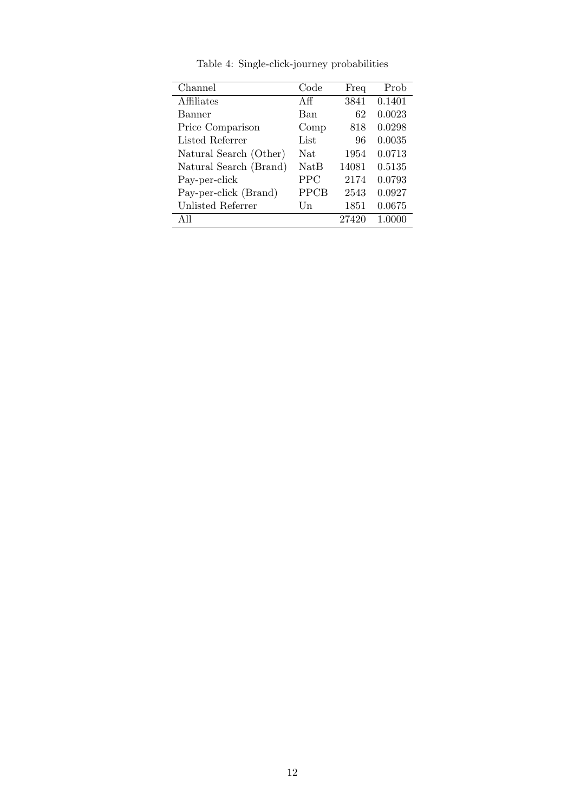| Channel                | Code        | Freq  | Prob   |
|------------------------|-------------|-------|--------|
| Affiliates             | Αff         | 3841  | 0.1401 |
| Banner                 | Ban         | 62    | 0.0023 |
| Price Comparison       | Comp        | 818   | 0.0298 |
| Listed Referrer        | List        | 96    | 0.0035 |
| Natural Search (Other) | <b>Nat</b>  | 1954  | 0.0713 |
| Natural Search (Brand) | <b>NatB</b> | 14081 | 0.5135 |
| Pay-per-click          | <b>PPC</b>  | 2174  | 0.0793 |
| Pay-per-click (Brand)  | PPCB        | 2543  | 0.0927 |
| Unlisted Referrer      | Un          | 1851  | 0.0675 |
| All                    |             | 27420 | 1.0000 |
|                        |             |       |        |

Table 4: Single-click-journey probabilities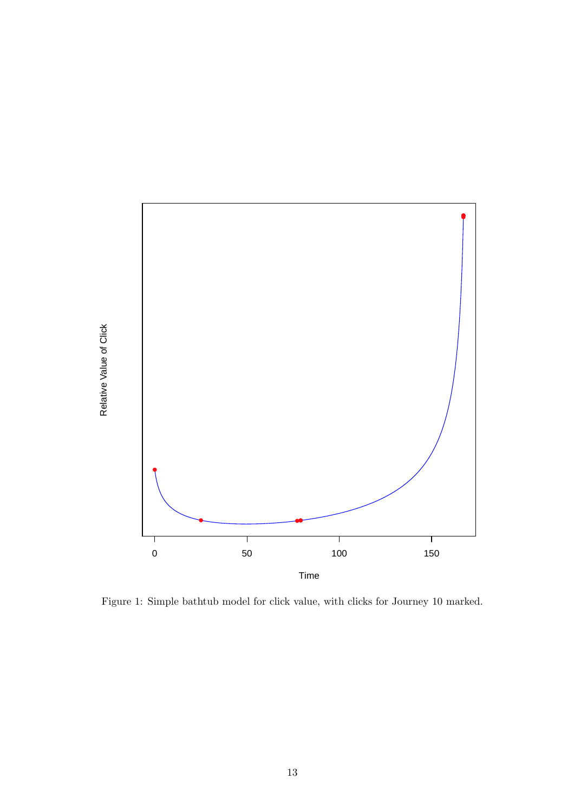

Figure 1: Simple bathtub model for click value, with clicks for Journey 10 marked.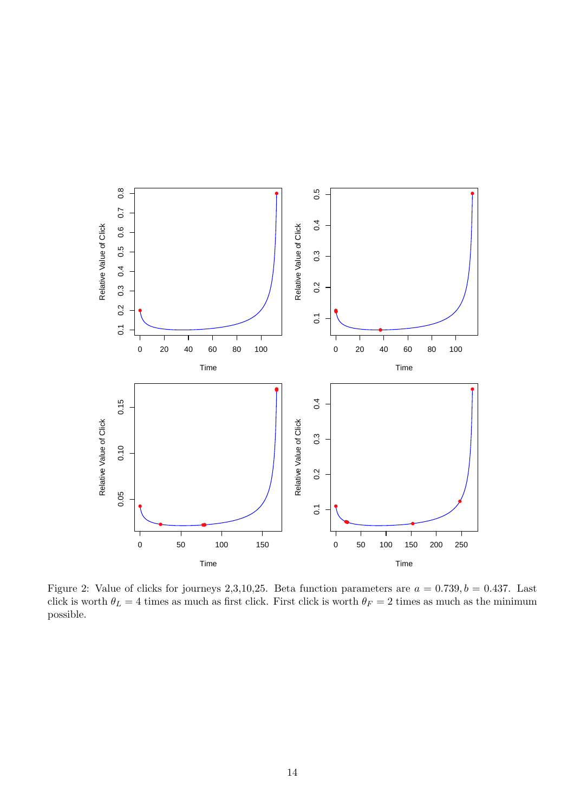

Figure 2: Value of clicks for journeys 2,3,10,25. Beta function parameters are  $a = 0.739, b = 0.437$ . Last click is worth  $\theta_L = 4$  times as much as first click. First click is worth  $\theta_F = 2$  times as much as the minimum possible.